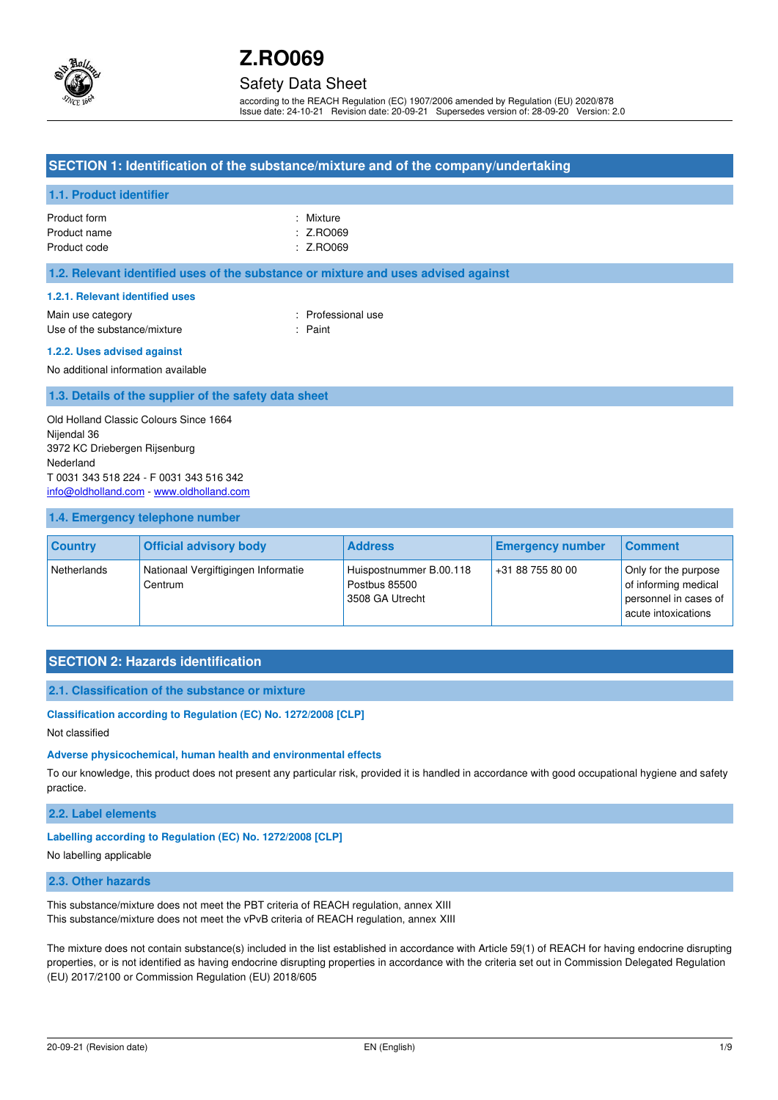

## Safety Data Sheet

according to the REACH Regulation (EC) 1907/2006 amended by Regulation (EU) 2020/878 Issue date: 24-10-21 Revision date: 20-09-21 Supersedes version of: 28-09-20 Version: 2.0

## **SECTION 1: Identification of the substance/mixture and of the company/undertaking**

## **1.1. Product identifier**

| Product form | : Mixture |
|--------------|-----------|
| Product name | : Z.RO069 |
| Product code | : Z.RO069 |

#### **1.2. Relevant identified uses of the substance or mixture and uses advised against**

#### **1.2.1. Relevant identified uses**

Main use category **Example 20** and the Main use category **in the Contract of Contract 20 and 10** and 10 and 10 and 10 and 10 and 10 and 10 and 10 and 10 and 10 and 10 and 10 and 10 and 10 and 10 and 10 and 10 and 10 and 10 Use of the substance/mixture in the substance in the set of the substance in the set of the set of the set of the set of the set of the set of the set of the set of the set of the set of the set of the set of the set of th

#### **1.2.2. Uses advised against**

No additional information available

## **1.3. Details of the supplier of the safety data sheet**

Old Holland Classic Colours Since 1664 Nijendal 36 3972 KC Driebergen Rijsenburg Nederland T 0031 343 518 224 - F 0031 343 516 342 [info@oldholland.com](mailto:info@oldholland.com) - [www.oldholland.com](http://www.oldholland.com/)

### **1.4. Emergency telephone number**

| <b>Country</b> | <b>Official advisory body</b>                  | <b>Address</b>                                              | <b>Emergency number</b> | <b>Comment</b>                                                                               |
|----------------|------------------------------------------------|-------------------------------------------------------------|-------------------------|----------------------------------------------------------------------------------------------|
| Netherlands    | Nationaal Vergiftigingen Informatie<br>Centrum | Huispostnummer B.00.118<br>Postbus 85500<br>3508 GA Utrecht | +31 88 755 80 00        | Only for the purpose<br>of informing medical<br>personnel in cases of<br>acute intoxications |

# **SECTION 2: Hazards identification**

#### **2.1. Classification of the substance or mixture**

#### **Classification according to Regulation (EC) No. 1272/2008 [CLP]**

Not classified

#### **Adverse physicochemical, human health and environmental effects**

To our knowledge, this product does not present any particular risk, provided it is handled in accordance with good occupational hygiene and safety practice.

#### **2.2. Label elements**

## **Labelling according to Regulation (EC) No. 1272/2008 [CLP]**

#### No labelling applicable

#### **2.3. Other hazards**

This substance/mixture does not meet the PBT criteria of REACH regulation, annex XIII This substance/mixture does not meet the vPvB criteria of REACH regulation, annex XIII

The mixture does not contain substance(s) included in the list established in accordance with Article 59(1) of REACH for having endocrine disrupting properties, or is not identified as having endocrine disrupting properties in accordance with the criteria set out in Commission Delegated Regulation (EU) 2017/2100 or Commission Regulation (EU) 2018/605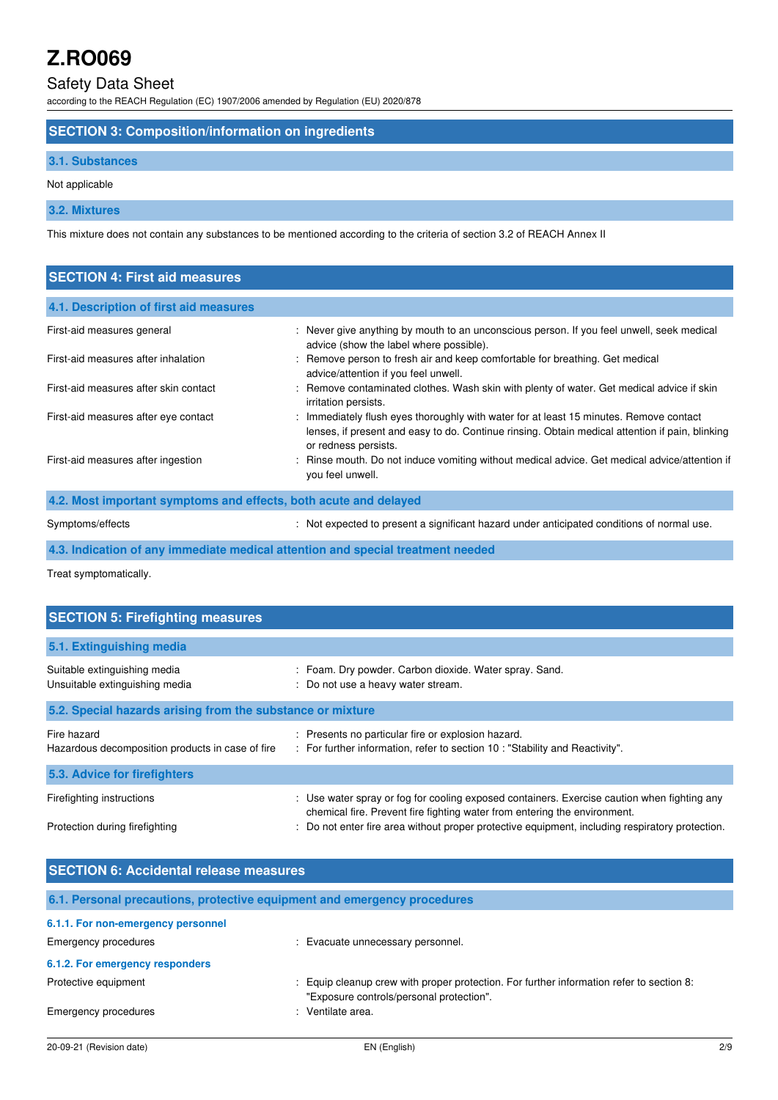# Safety Data Sheet

according to the REACH Regulation (EC) 1907/2006 amended by Regulation (EU) 2020/878

## **SECTION 3: Composition/information on ingredients**

## **3.1. Substances**

Not applicable

# **3.2. Mixtures**

This mixture does not contain any substances to be mentioned according to the criteria of section 3.2 of REACH Annex II

| <b>SECTION 4: First aid measures</b>                             |                                                                                                                                                                                                                   |
|------------------------------------------------------------------|-------------------------------------------------------------------------------------------------------------------------------------------------------------------------------------------------------------------|
| 4.1. Description of first aid measures                           |                                                                                                                                                                                                                   |
| First-aid measures general                                       | : Never give anything by mouth to an unconscious person. If you feel unwell, seek medical<br>advice (show the label where possible).                                                                              |
| First-aid measures after inhalation                              | : Remove person to fresh air and keep comfortable for breathing. Get medical<br>advice/attention if you feel unwell.                                                                                              |
| First-aid measures after skin contact                            | : Remove contaminated clothes. Wash skin with plenty of water. Get medical advice if skin<br>irritation persists.                                                                                                 |
| First-aid measures after eye contact                             | : Immediately flush eyes thoroughly with water for at least 15 minutes. Remove contact<br>lenses, if present and easy to do. Continue rinsing. Obtain medical attention if pain, blinking<br>or redness persists. |
| First-aid measures after ingestion                               | : Rinse mouth. Do not induce vomiting without medical advice. Get medical advice/attention if<br>you feel unwell.                                                                                                 |
| 4.2. Most important symptoms and effects, both acute and delayed |                                                                                                                                                                                                                   |
| Symptoms/effects                                                 | : Not expected to present a significant hazard under anticipated conditions of normal use.                                                                                                                        |

**4.3. Indication of any immediate medical attention and special treatment needed** 

Treat symptomatically.

| <b>SECTION 5: Firefighting measures</b>                         |                                                                                                                                                                          |  |  |  |
|-----------------------------------------------------------------|--------------------------------------------------------------------------------------------------------------------------------------------------------------------------|--|--|--|
| 5.1. Extinguishing media                                        |                                                                                                                                                                          |  |  |  |
| Suitable extinguishing media<br>Unsuitable extinguishing media  | : Foam. Dry powder. Carbon dioxide. Water spray. Sand.<br>: Do not use a heavy water stream.                                                                             |  |  |  |
| 5.2. Special hazards arising from the substance or mixture      |                                                                                                                                                                          |  |  |  |
| Fire hazard<br>Hazardous decomposition products in case of fire | : Presents no particular fire or explosion hazard.<br>: For further information, refer to section 10 : "Stability and Reactivity".                                       |  |  |  |
| 5.3. Advice for firefighters                                    |                                                                                                                                                                          |  |  |  |
| Firefighting instructions                                       | : Use water spray or fog for cooling exposed containers. Exercise caution when fighting any<br>chemical fire. Prevent fire fighting water from entering the environment. |  |  |  |
| Protection during firefighting                                  | : Do not enter fire area without proper protective equipment, including respiratory protection.                                                                          |  |  |  |

| <b>SECTION 6: Accidental release measures</b>                            |                                                                                                                                      |  |  |  |
|--------------------------------------------------------------------------|--------------------------------------------------------------------------------------------------------------------------------------|--|--|--|
| 6.1. Personal precautions, protective equipment and emergency procedures |                                                                                                                                      |  |  |  |
| 6.1.1. For non-emergency personnel                                       |                                                                                                                                      |  |  |  |
| Emergency procedures                                                     | : Evacuate unnecessary personnel.                                                                                                    |  |  |  |
| 6.1.2. For emergency responders                                          |                                                                                                                                      |  |  |  |
| Protective equipment                                                     | : Equip cleanup crew with proper protection. For further information refer to section 8:<br>"Exposure controls/personal protection". |  |  |  |
| Emergency procedures                                                     | : Ventilate area.                                                                                                                    |  |  |  |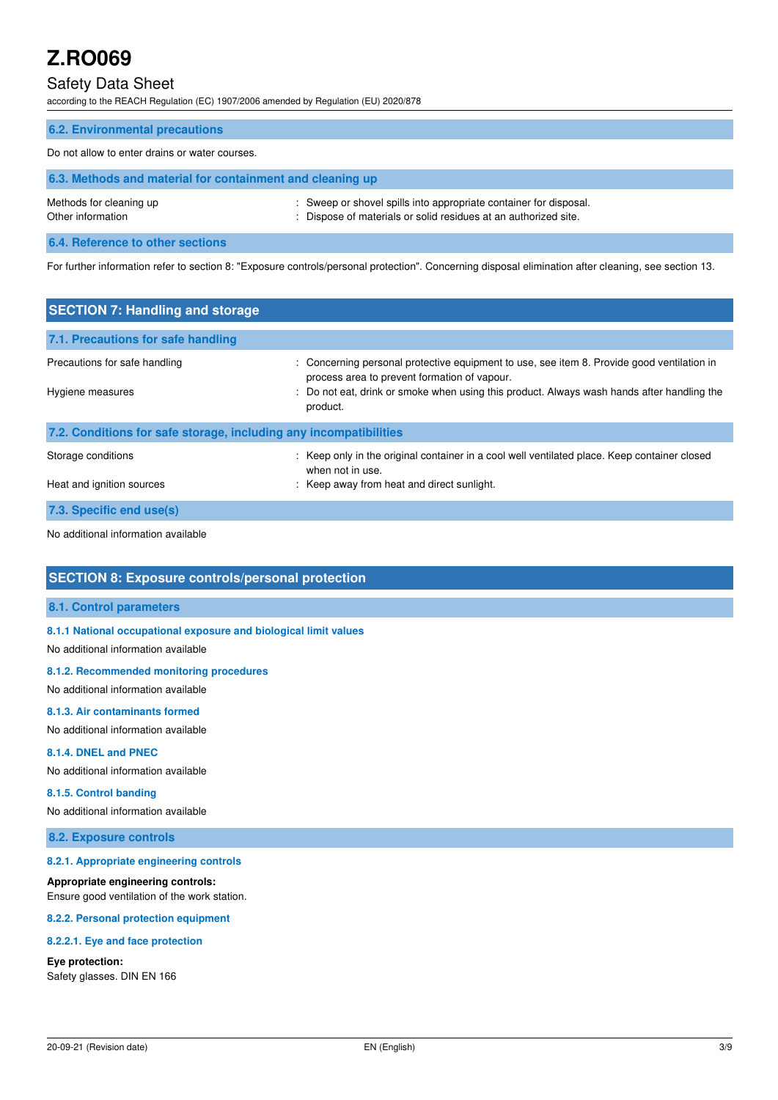# Safety Data Sheet

according to the REACH Regulation (EC) 1907/2006 amended by Regulation (EU) 2020/878

| <b>6.2. Environmental precautions</b>                     |                                                                                                                                      |  |
|-----------------------------------------------------------|--------------------------------------------------------------------------------------------------------------------------------------|--|
| Do not allow to enter drains or water courses.            |                                                                                                                                      |  |
| 6.3. Methods and material for containment and cleaning up |                                                                                                                                      |  |
| Methods for cleaning up<br>Other information              | : Sweep or shovel spills into appropriate container for disposal.<br>: Dispose of materials or solid residues at an authorized site. |  |
| 6.4. Reference to other sections                          |                                                                                                                                      |  |

For further information refer to section 8: "Exposure controls/personal protection". Concerning disposal elimination after cleaning, see section 13.

| <b>SECTION 7: Handling and storage</b>                            |                                                                                                                                            |  |  |  |
|-------------------------------------------------------------------|--------------------------------------------------------------------------------------------------------------------------------------------|--|--|--|
| 7.1. Precautions for safe handling                                |                                                                                                                                            |  |  |  |
| Precautions for safe handling                                     | : Concerning personal protective equipment to use, see item 8. Provide good ventilation in<br>process area to prevent formation of vapour. |  |  |  |
| Hygiene measures                                                  | : Do not eat, drink or smoke when using this product. Always wash hands after handling the<br>product.                                     |  |  |  |
| 7.2. Conditions for safe storage, including any incompatibilities |                                                                                                                                            |  |  |  |
| Storage conditions                                                | : Keep only in the original container in a cool well ventilated place. Keep container closed<br>when not in use.                           |  |  |  |
| Heat and ignition sources                                         | : Keep away from heat and direct sunlight.                                                                                                 |  |  |  |
| 7.3. Specific end use(s)                                          |                                                                                                                                            |  |  |  |

No additional information available

# **SECTION 8: Exposure controls/personal protection**

## **8.1. Control parameters**

**8.1.1 National occupational exposure and biological limit values** 

No additional information available

#### **8.1.2. Recommended monitoring procedures**

No additional information available

#### **8.1.3. Air contaminants formed**

No additional information available

### **8.1.4. DNEL and PNEC**

No additional information available

## **8.1.5. Control banding**

No additional information available

## **8.2. Exposure controls**

#### **8.2.1. Appropriate engineering controls**

#### **Appropriate engineering controls:**

Ensure good ventilation of the work station.

#### **8.2.2. Personal protection equipment**

#### **8.2.2.1. Eye and face protection**

#### **Eye protection:**

Safety glasses. DIN EN 166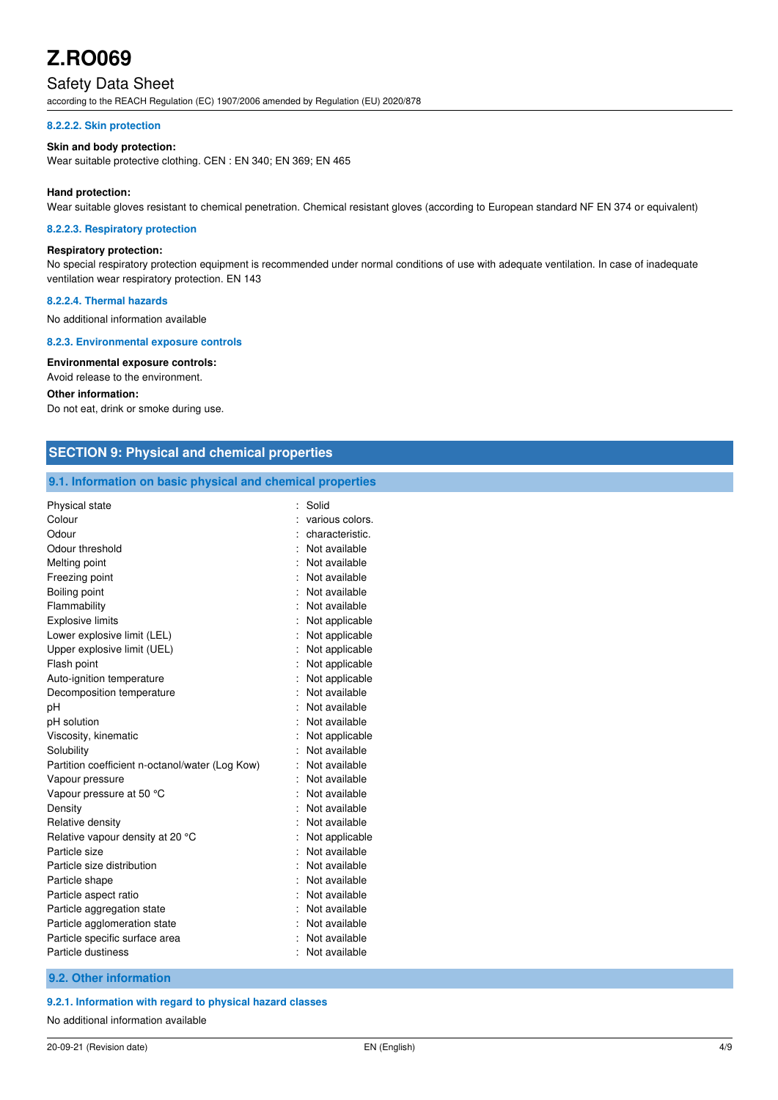# Safety Data Sheet

according to the REACH Regulation (EC) 1907/2006 amended by Regulation (EU) 2020/878

#### **8.2.2.2. Skin protection**

#### **Skin and body protection:**

Wear suitable protective clothing. CEN : EN 340; EN 369; EN 465

#### **Hand protection:**

Wear suitable gloves resistant to chemical penetration. Chemical resistant gloves (according to European standard NF EN 374 or equivalent)

#### **8.2.2.3. Respiratory protection**

## **Respiratory protection:**

No special respiratory protection equipment is recommended under normal conditions of use with adequate ventilation. In case of inadequate ventilation wear respiratory protection. EN 143

#### **8.2.2.4. Thermal hazards**

No additional information available

#### **8.2.3. Environmental exposure controls**

**Environmental exposure controls:**  Avoid release to the environment.

#### **Other information:**

Do not eat, drink or smoke during use.

| <b>SECTION 9: Physical and chemical properties</b>         |                 |  |
|------------------------------------------------------------|-----------------|--|
| 9.1. Information on basic physical and chemical properties |                 |  |
| Physical state                                             | : Solid         |  |
| Colour                                                     | various colors. |  |
| Odour                                                      | characteristic. |  |
| Odour threshold                                            | Not available   |  |
| Melting point                                              | Not available   |  |
| Freezing point                                             | Not available   |  |
| Boiling point                                              | Not available   |  |
| Flammability                                               | Not available   |  |
| Explosive limits                                           | Not applicable  |  |
| Lower explosive limit (LEL)                                | Not applicable  |  |
| Upper explosive limit (UEL)                                | Not applicable  |  |
| Flash point                                                | Not applicable  |  |
| Auto-ignition temperature                                  | Not applicable  |  |
| Decomposition temperature                                  | Not available   |  |
| pН                                                         | Not available   |  |
| pH solution                                                | Not available   |  |
| Viscosity, kinematic                                       | Not applicable  |  |
| Solubility                                                 | Not available   |  |
| Partition coefficient n-octanol/water (Log Kow)            | Not available   |  |
| Vapour pressure                                            | Not available   |  |
| Vapour pressure at 50 °C                                   | Not available   |  |
| Density                                                    | Not available   |  |
| Relative density                                           | Not available   |  |
| Relative vapour density at 20 °C                           | Not applicable  |  |
| Particle size                                              | Not available   |  |
| Particle size distribution                                 | Not available   |  |
| Particle shape                                             | Not available   |  |
| Particle aspect ratio                                      | Not available   |  |
| Particle aggregation state                                 | Not available   |  |
| Particle agglomeration state                               | Not available   |  |
| Particle specific surface area                             | Not available   |  |
| Particle dustiness                                         | Not available   |  |
| 9.2. Other information                                     |                 |  |

#### **9.2.1. Information with regard to physical hazard classes**

No additional information available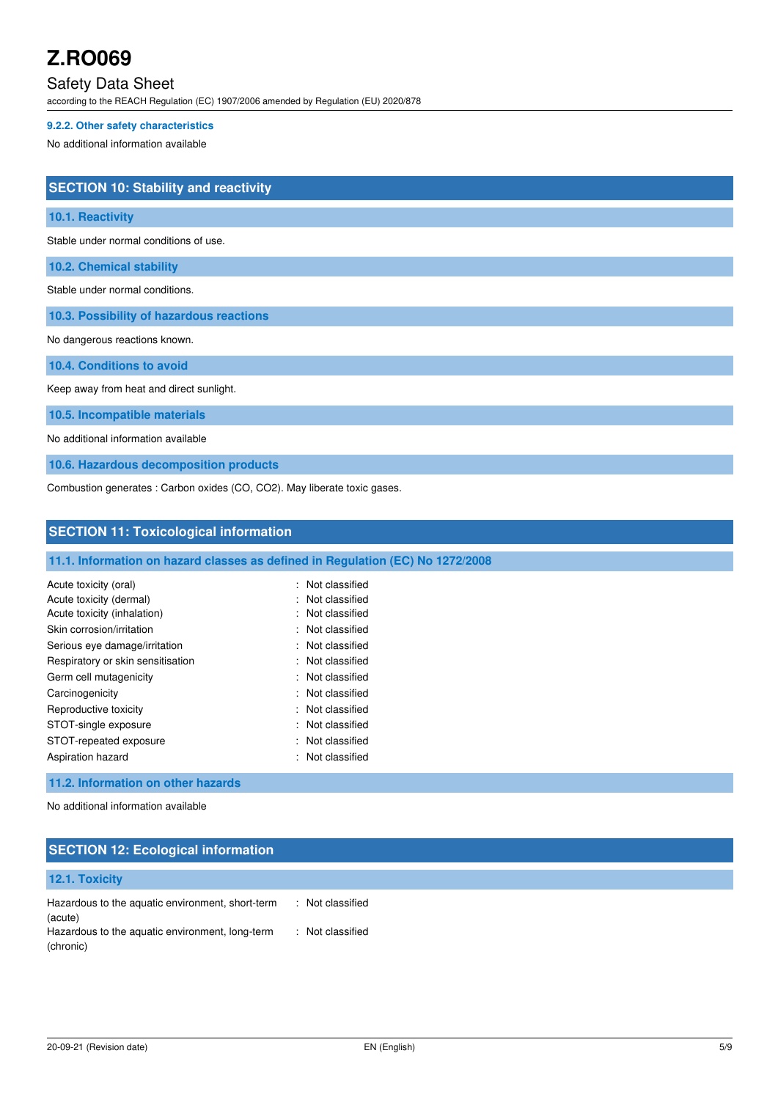# Safety Data Sheet

according to the REACH Regulation (EC) 1907/2006 amended by Regulation (EU) 2020/878

## **9.2.2. Other safety characteristics**

No additional information available

| <b>SECTION 10: Stability and reactivity</b>                               |
|---------------------------------------------------------------------------|
| 10.1. Reactivity                                                          |
| Stable under normal conditions of use.                                    |
| <b>10.2. Chemical stability</b>                                           |
| Stable under normal conditions.                                           |
| 10.3. Possibility of hazardous reactions                                  |
| No dangerous reactions known.                                             |
| 10.4. Conditions to avoid                                                 |
| Keep away from heat and direct sunlight.                                  |
| 10.5. Incompatible materials                                              |
| No additional information available                                       |
| 10.6. Hazardous decomposition products                                    |
| Combustion generates : Carbon oxides (CO, CO2). May liberate toxic gases. |

**SECTION 11: Toxicological information** 

| 11.1. Information on hazard classes as defined in Regulation (EC) No 1272/2008 |  |  |
|--------------------------------------------------------------------------------|--|--|
|                                                                                |  |  |

| Acute toxicity (oral)<br>Acute toxicity (dermal)<br>Acute toxicity (inhalation)<br>Skin corrosion/irritation<br>Serious eye damage/irritation<br>Respiratory or skin sensitisation<br>Germ cell mutagenicity | : Not classified<br>: Not classified<br>: Not classified<br>: Not classified<br>: Not classified<br>: Not classified<br>: Not classified |
|--------------------------------------------------------------------------------------------------------------------------------------------------------------------------------------------------------------|------------------------------------------------------------------------------------------------------------------------------------------|
| Carcinogenicity                                                                                                                                                                                              | : Not classified                                                                                                                         |
| Reproductive toxicity                                                                                                                                                                                        | : Not classified                                                                                                                         |
| STOT-single exposure                                                                                                                                                                                         | : Not classified                                                                                                                         |
| STOT-repeated exposure                                                                                                                                                                                       | : Not classified                                                                                                                         |
| Aspiration hazard                                                                                                                                                                                            | : Not classified                                                                                                                         |

## **11.2. Information on other hazards**

No additional information available

# **SECTION 12: Ecological information**

| 12.1. Toxicity                                               |                  |
|--------------------------------------------------------------|------------------|
| Hazardous to the aquatic environment, short-term<br>(acute)  | : Not classified |
| Hazardous to the aquatic environment, long-term<br>(chronic) | : Not classified |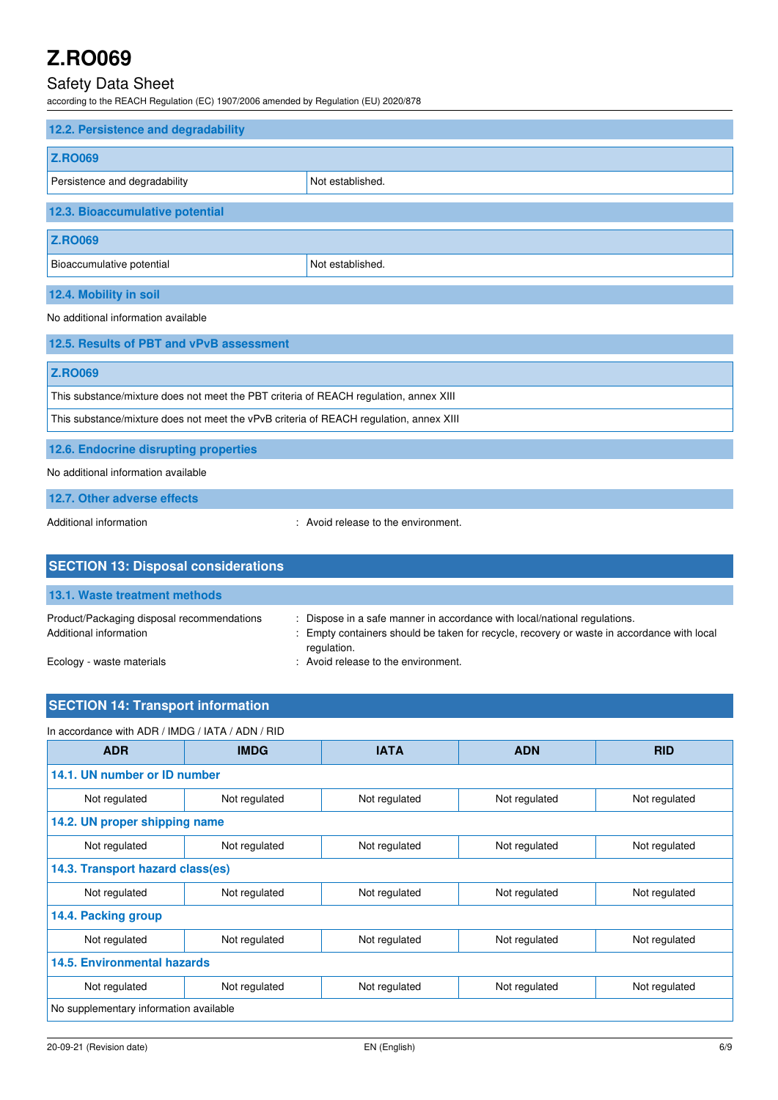# Safety Data Sheet

according to the REACH Regulation (EC) 1907/2006 amended by Regulation (EU) 2020/878

| 12.2. Persistence and degradability |                  |  |
|-------------------------------------|------------------|--|
| <b>Z.RO069</b>                      |                  |  |
| Persistence and degradability       | Not established. |  |
| 12.3. Bioaccumulative potential     |                  |  |
| <b>Z.RO069</b>                      |                  |  |
| Bioaccumulative potential           | Not established. |  |
| 12.4. Mobility in soil              |                  |  |

No additional information available

| 12.5. Results of PBT and vPvB assessment                                               |  |
|----------------------------------------------------------------------------------------|--|
| <b>Z.RO069</b>                                                                         |  |
| This substance/mixture does not meet the PBT criteria of REACH regulation, annex XIII  |  |
| This substance/mixture does not meet the vPvB criteria of REACH regulation, annex XIII |  |
| 12.6. Endocrine disrupting properties                                                  |  |

No additional information available

**12.7. Other adverse effects** 

Additional information  $\blacksquare$  : Avoid release to the environment.

| <b>SECTION 13: Disposal considerations</b>                           |                                                                                                                                                                                        |  |  |
|----------------------------------------------------------------------|----------------------------------------------------------------------------------------------------------------------------------------------------------------------------------------|--|--|
| 13.1. Waste treatment methods                                        |                                                                                                                                                                                        |  |  |
| Product/Packaging disposal recommendations<br>Additional information | : Dispose in a safe manner in accordance with local/national regulations.<br>: Empty containers should be taken for recycle, recovery or waste in accordance with local<br>regulation. |  |  |
| Ecology - waste materials                                            | : Avoid release to the environment.                                                                                                                                                    |  |  |

# **SECTION 14: Transport information**

In accordance with ADR / IMDG / IATA / ADN / RID

| <b>ADR</b>                             | <b>IMDG</b>   | <b>IATA</b>   | <b>ADN</b>    | <b>RID</b>    |
|----------------------------------------|---------------|---------------|---------------|---------------|
| 14.1. UN number or ID number           |               |               |               |               |
| Not regulated                          | Not regulated | Not regulated | Not regulated | Not regulated |
| 14.2. UN proper shipping name          |               |               |               |               |
| Not regulated                          | Not regulated | Not regulated | Not regulated | Not regulated |
| 14.3. Transport hazard class(es)       |               |               |               |               |
| Not regulated                          | Not regulated | Not regulated | Not regulated | Not regulated |
| 14.4. Packing group                    |               |               |               |               |
| Not regulated                          | Not regulated | Not regulated | Not regulated | Not regulated |
| <b>14.5. Environmental hazards</b>     |               |               |               |               |
| Not regulated                          | Not regulated | Not regulated | Not regulated | Not regulated |
| No supplementary information available |               |               |               |               |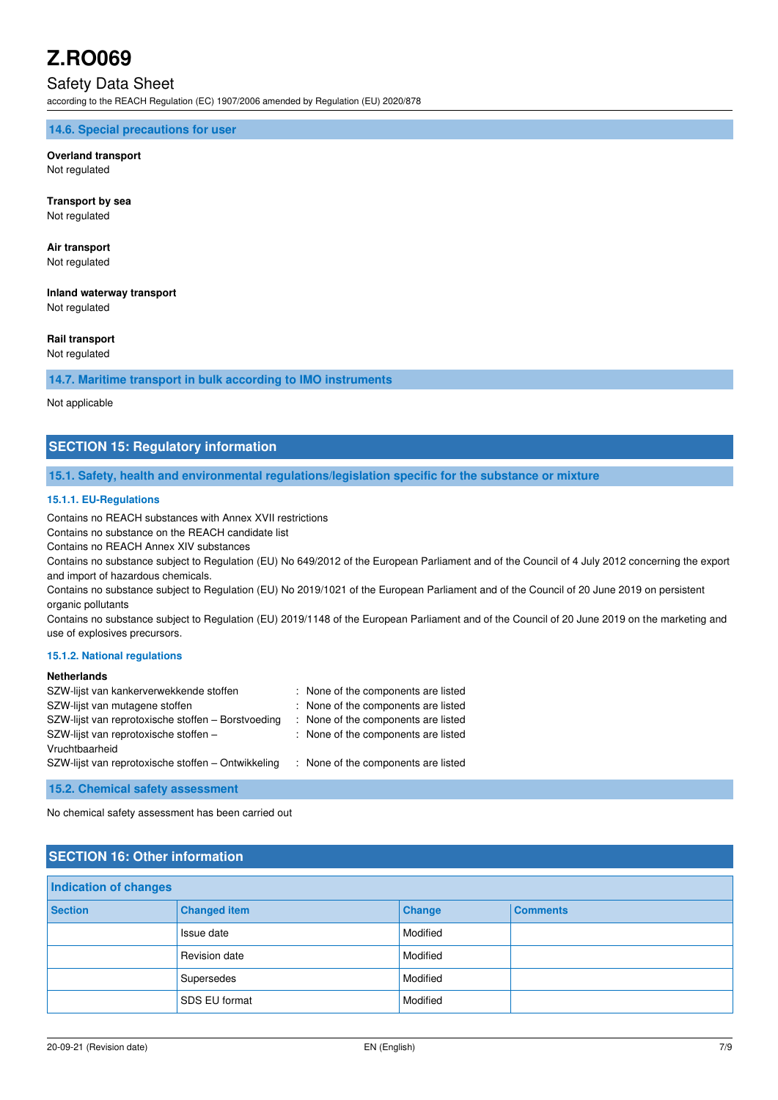# Safety Data Sheet

according to the REACH Regulation (EC) 1907/2006 amended by Regulation (EU) 2020/878

#### **14.6. Special precautions for user**

# **Overland transport**

Not regulated

**Transport by sea**  Not regulated

# **Air transport**

Not regulated

# **Inland waterway transport**

Not regulated

## **Rail transport**

Not regulated

## **14.7. Maritime transport in bulk according to IMO instruments**

Not applicable

## **SECTION 15: Regulatory information**

#### **15.1. Safety, health and environmental regulations/legislation specific for the substance or mixture**

#### **15.1.1. EU-Regulations**

Contains no REACH substances with Annex XVII restrictions

Contains no substance on the REACH candidate list

Contains no REACH Annex XIV substances

Contains no substance subject to Regulation (EU) No 649/2012 of the European Parliament and of the Council of 4 July 2012 concerning the export and import of hazardous chemicals.

Contains no substance subject to Regulation (EU) No 2019/1021 of the European Parliament and of the Council of 20 June 2019 on persistent organic pollutants

Contains no substance subject to Regulation (EU) 2019/1148 of the European Parliament and of the Council of 20 June 2019 on the marketing and use of explosives precursors.

#### **15.1.2. National regulations**

## **Netherlands**

| : None of the components are listed |
|-------------------------------------|
| : None of the components are listed |
| : None of the components are listed |
| : None of the components are listed |
|                                     |
| : None of the components are listed |
|                                     |

**15.2. Chemical safety assessment** 

No chemical safety assessment has been carried out

# **SECTION 16: Other information**

| <b>Indication of changes</b> |                     |          |                 |
|------------------------------|---------------------|----------|-----------------|
| <b>Section</b>               | <b>Changed item</b> | Change   | <b>Comments</b> |
|                              | Issue date          | Modified |                 |
|                              | Revision date       | Modified |                 |
|                              | Supersedes          | Modified |                 |
|                              | SDS EU format       | Modified |                 |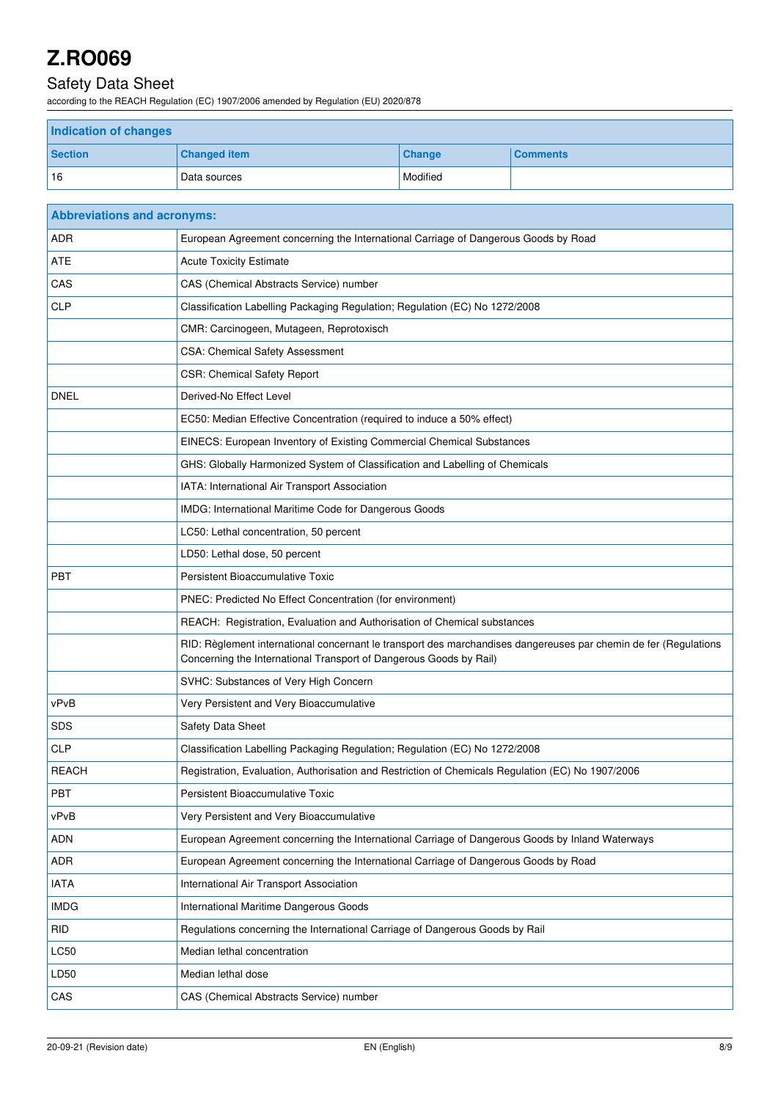# Safety Data Sheet

according to the REACH Regulation (EC) 1907/2006 amended by Regulation (EU) 2020/878

| <b>Indication of changes</b> |                     |               |                 |
|------------------------------|---------------------|---------------|-----------------|
| <b>Section</b>               | <b>Changed item</b> | <b>Change</b> | <b>Comments</b> |
| 16                           | Data sources        | Modified      |                 |

| <b>Abbreviations and acronyms:</b> |                                                                                                                                                                                        |
|------------------------------------|----------------------------------------------------------------------------------------------------------------------------------------------------------------------------------------|
| <b>ADR</b>                         | European Agreement concerning the International Carriage of Dangerous Goods by Road                                                                                                    |
| <b>ATE</b>                         | <b>Acute Toxicity Estimate</b>                                                                                                                                                         |
| CAS                                | CAS (Chemical Abstracts Service) number                                                                                                                                                |
| <b>CLP</b>                         | Classification Labelling Packaging Regulation; Regulation (EC) No 1272/2008                                                                                                            |
|                                    | CMR: Carcinogeen, Mutageen, Reprotoxisch                                                                                                                                               |
|                                    | CSA: Chemical Safety Assessment                                                                                                                                                        |
|                                    | <b>CSR: Chemical Safety Report</b>                                                                                                                                                     |
| <b>DNEL</b>                        | Derived-No Effect Level                                                                                                                                                                |
|                                    | EC50: Median Effective Concentration (required to induce a 50% effect)                                                                                                                 |
|                                    | EINECS: European Inventory of Existing Commercial Chemical Substances                                                                                                                  |
|                                    | GHS: Globally Harmonized System of Classification and Labelling of Chemicals                                                                                                           |
|                                    | IATA: International Air Transport Association                                                                                                                                          |
|                                    | IMDG: International Maritime Code for Dangerous Goods                                                                                                                                  |
|                                    | LC50: Lethal concentration, 50 percent                                                                                                                                                 |
|                                    | LD50: Lethal dose, 50 percent                                                                                                                                                          |
| <b>PBT</b>                         | Persistent Bioaccumulative Toxic                                                                                                                                                       |
|                                    | PNEC: Predicted No Effect Concentration (for environment)                                                                                                                              |
|                                    | REACH: Registration, Evaluation and Authorisation of Chemical substances                                                                                                               |
|                                    | RID: Règlement international concernant le transport des marchandises dangereuses par chemin de fer (Regulations<br>Concerning the International Transport of Dangerous Goods by Rail) |
|                                    | SVHC: Substances of Very High Concern                                                                                                                                                  |
| vPvB                               | Very Persistent and Very Bioaccumulative                                                                                                                                               |
| <b>SDS</b>                         | Safety Data Sheet                                                                                                                                                                      |
| <b>CLP</b>                         | Classification Labelling Packaging Regulation; Regulation (EC) No 1272/2008                                                                                                            |
| <b>REACH</b>                       | Registration, Evaluation, Authorisation and Restriction of Chemicals Regulation (EC) No 1907/2006                                                                                      |
| PBT                                | Persistent Bioaccumulative Toxic                                                                                                                                                       |
| vPvB                               | Very Persistent and Very Bioaccumulative                                                                                                                                               |
| <b>ADN</b>                         | European Agreement concerning the International Carriage of Dangerous Goods by Inland Waterways                                                                                        |
| ADR                                | European Agreement concerning the International Carriage of Dangerous Goods by Road                                                                                                    |
| <b>IATA</b>                        | International Air Transport Association                                                                                                                                                |
| <b>IMDG</b>                        | International Maritime Dangerous Goods                                                                                                                                                 |
| <b>RID</b>                         | Regulations concerning the International Carriage of Dangerous Goods by Rail                                                                                                           |
| LC50                               | Median lethal concentration                                                                                                                                                            |
| LD50                               | Median lethal dose                                                                                                                                                                     |
| CAS                                | CAS (Chemical Abstracts Service) number                                                                                                                                                |